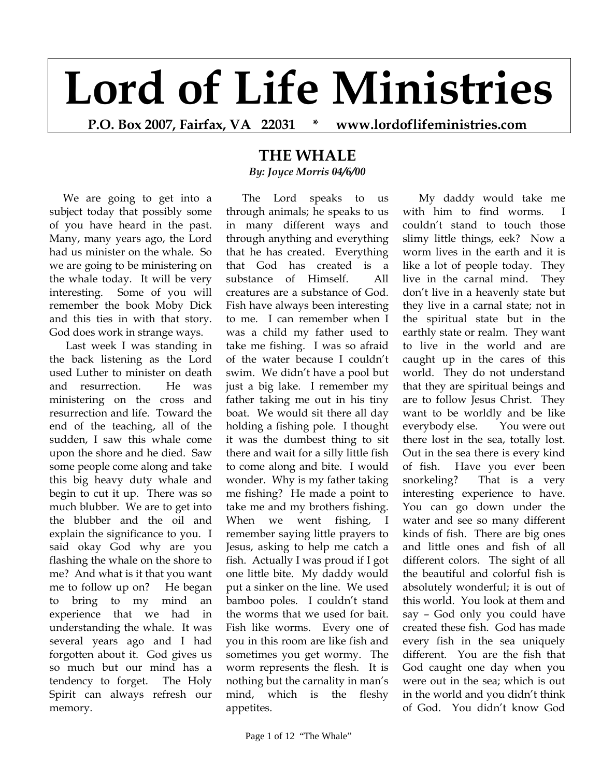## **Lord of Life Ministries**

**P.O. Box 2007, Fairfax, VA 22031 \* www.lordoflifeministries.com** 

 We are going to get into a subject today that possibly some of you have heard in the past. Many, many years ago, the Lord had us minister on the whale. So we are going to be ministering on the whale today. It will be very interesting. Some of you will remember the book Moby Dick and this ties in with that story. God does work in strange ways.

 Last week I was standing in the back listening as the Lord used Luther to minister on death and resurrection. He was ministering on the cross and resurrection and life. Toward the end of the teaching, all of the sudden, I saw this whale come upon the shore and he died. Saw some people come along and take this big heavy duty whale and begin to cut it up. There was so much blubber. We are to get into the blubber and the oil and explain the significance to you. I said okay God why are you flashing the whale on the shore to me? And what is it that you want me to follow up on? He began to bring to my mind an experience that we had in understanding the whale. It was several years ago and I had forgotten about it. God gives us so much but our mind has a tendency to forget. The Holy Spirit can always refresh our memory.

## **THE WHALE**  *By: Joyce Morris 04/6/00*

 The Lord speaks to us through animals; he speaks to us in many different ways and through anything and everything that he has created. Everything that God has created is a substance of Himself. All creatures are a substance of God. Fish have always been interesting to me. I can remember when I was a child my father used to take me fishing. I was so afraid of the water because I couldn't swim. We didn't have a pool but just a big lake. I remember my father taking me out in his tiny boat. We would sit there all day holding a fishing pole. I thought it was the dumbest thing to sit there and wait for a silly little fish to come along and bite. I would wonder. Why is my father taking me fishing? He made a point to take me and my brothers fishing. When we went fishing, I remember saying little prayers to Jesus, asking to help me catch a fish. Actually I was proud if I got one little bite. My daddy would put a sinker on the line. We used bamboo poles. I couldn't stand the worms that we used for bait. Fish like worms. Every one of you in this room are like fish and sometimes you get wormy. The worm represents the flesh. It is nothing but the carnality in man's mind, which is the fleshy appetites.

 My daddy would take me with him to find worms. I couldn't stand to touch those slimy little things, eek? Now a worm lives in the earth and it is like a lot of people today. They live in the carnal mind. They don't live in a heavenly state but they live in a carnal state; not in the spiritual state but in the earthly state or realm. They want to live in the world and are caught up in the cares of this world. They do not understand that they are spiritual beings and are to follow Jesus Christ. They want to be worldly and be like everybody else. You were out there lost in the sea, totally lost. Out in the sea there is every kind of fish. Have you ever been snorkeling? That is a very interesting experience to have. You can go down under the water and see so many different kinds of fish. There are big ones and little ones and fish of all different colors. The sight of all the beautiful and colorful fish is absolutely wonderful; it is out of this world. You look at them and say – God only you could have created these fish. God has made every fish in the sea uniquely different. You are the fish that God caught one day when you were out in the sea; which is out in the world and you didn't think of God. You didn't know God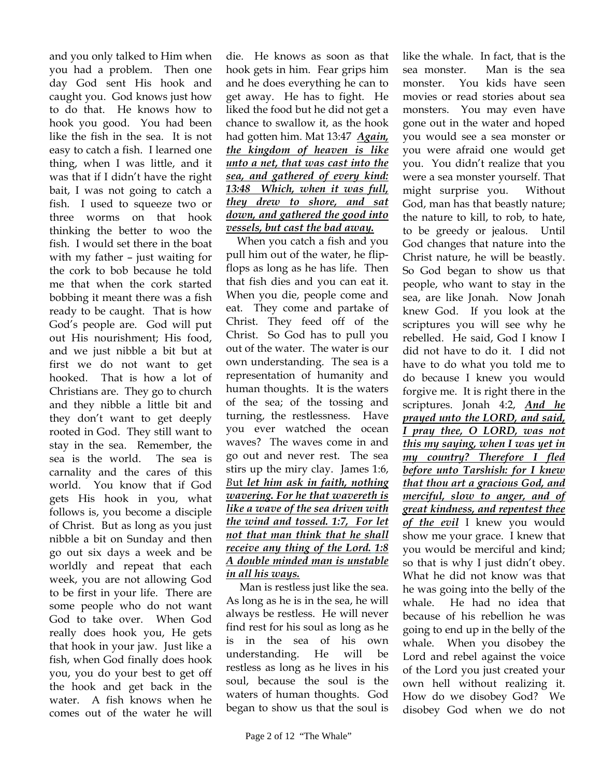and you only talked to Him when you had a problem. Then one day God sent His hook and caught you. God knows just how to do that. He knows how to hook you good. You had been like the fish in the sea. It is not easy to catch a fish. I learned one thing, when I was little, and it was that if I didn't have the right bait, I was not going to catch a fish. I used to squeeze two or three worms on that hook thinking the better to woo the fish. I would set there in the boat with my father – just waiting for the cork to bob because he told me that when the cork started bobbing it meant there was a fish ready to be caught. That is how God's people are. God will put out His nourishment; His food, and we just nibble a bit but at first we do not want to get hooked. That is how a lot of Christians are. They go to church and they nibble a little bit and they don't want to get deeply rooted in God. They still want to stay in the sea. Remember, the sea is the world. The sea is carnality and the cares of this world. You know that if God gets His hook in you, what follows is, you become a disciple of Christ. But as long as you just nibble a bit on Sunday and then go out six days a week and be worldly and repeat that each week, you are not allowing God to be first in your life. There are some people who do not want God to take over. When God really does hook you, He gets that hook in your jaw. Just like a fish, when God finally does hook you, you do your best to get off the hook and get back in the water. A fish knows when he comes out of the water he will

die. He knows as soon as that hook gets in him. Fear grips him and he does everything he can to get away. He has to fight. He liked the food but he did not get a chance to swallow it, as the hook had gotten him. Mat 13:47 *Again, the kingdom of heaven is like unto a net, that was cast into the sea, and gathered of every kind: 13:48 Which, when it was full, they drew to shore, and sat down, and gathered the good into vessels, but cast the bad away.*

 When you catch a fish and you pull him out of the water, he flipflops as long as he has life. Then that fish dies and you can eat it. When you die, people come and eat. They come and partake of Christ. They feed off of the Christ. So God has to pull you out of the water. The water is our own understanding. The sea is a representation of humanity and human thoughts. It is the waters of the sea; of the tossing and turning, the restlessness. Have you ever watched the ocean waves? The waves come in and go out and never rest. The sea stirs up the miry clay. James 1:6, *B*ut *let him ask in faith, nothing wavering. For he that wavereth is like a wave of the sea driven with the wind and tossed. 1:7, For let not that man think that he shall receive any thing of the Lord. 1:8 A double minded man is unstable in all his ways.* 

 Man is restless just like the sea. As long as he is in the sea, he will always be restless. He will never find rest for his soul as long as he is in the sea of his own understanding. He will be restless as long as he lives in his soul, because the soul is the waters of human thoughts. God began to show us that the soul is

like the whale. In fact, that is the sea monster. Man is the sea monster. You kids have seen movies or read stories about sea monsters. You may even have gone out in the water and hoped you would see a sea monster or you were afraid one would get you. You didn't realize that you were a sea monster yourself. That might surprise you. Without God, man has that beastly nature; the nature to kill, to rob, to hate, to be greedy or jealous. Until God changes that nature into the Christ nature, he will be beastly. So God began to show us that people, who want to stay in the sea, are like Jonah. Now Jonah knew God. If you look at the scriptures you will see why he rebelled. He said, God I know I did not have to do it. I did not have to do what you told me to do because I knew you would forgive me. It is right there in the scriptures. Jonah 4:2, *And he prayed unto the LORD, and said, I pray thee, O LORD, was not this my saying, when I was yet in my country? Therefore I fled before unto Tarshish: for I knew that thou art a gracious God, and merciful, slow to anger, and of great kindness, and repentest thee of the evil* I knew you would show me your grace. I knew that you would be merciful and kind; so that is why I just didn't obey. What he did not know was that he was going into the belly of the whale. He had no idea that because of his rebellion he was going to end up in the belly of the whale. When you disobey the Lord and rebel against the voice of the Lord you just created your own hell without realizing it. How do we disobey God? We disobey God when we do not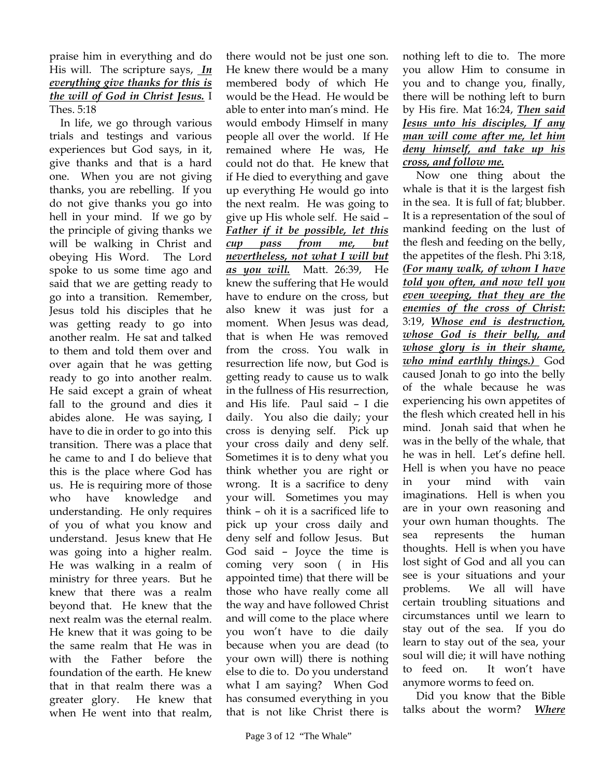## praise him in everything and do His will. The scripture says, *In everything give thanks for this is the will of God in Christ Jesus.* I Thes. 5:18

 In life, we go through various trials and testings and various experiences but God says, in it, give thanks and that is a hard one. When you are not giving thanks, you are rebelling. If you do not give thanks you go into hell in your mind. If we go by the principle of giving thanks we will be walking in Christ and obeying His Word. The Lord spoke to us some time ago and said that we are getting ready to go into a transition. Remember, Jesus told his disciples that he was getting ready to go into another realm. He sat and talked to them and told them over and over again that he was getting ready to go into another realm. He said except a grain of wheat fall to the ground and dies it abides alone. He was saying, I have to die in order to go into this transition. There was a place that he came to and I do believe that this is the place where God has us. He is requiring more of those who have knowledge and understanding. He only requires of you of what you know and understand. Jesus knew that He was going into a higher realm. He was walking in a realm of ministry for three years. But he knew that there was a realm beyond that. He knew that the next realm was the eternal realm. He knew that it was going to be the same realm that He was in with the Father before the foundation of the earth. He knew that in that realm there was a greater glory. He knew that when He went into that realm,

there would not be just one son. He knew there would be a many membered body of which He would be the Head. He would be able to enter into man's mind. He would embody Himself in many people all over the world. If He remained where He was, He could not do that. He knew that if He died to everything and gave up everything He would go into the next realm. He was going to give up His whole self. He said – *Father if it be possible, let this cup pass from me, but nevertheless, not what I will but as you will.* Matt. 26:39, He knew the suffering that He would have to endure on the cross, but also knew it was just for a moment. When Jesus was dead, that is when He was removed from the cross. You walk in resurrection life now, but God is getting ready to cause us to walk in the fullness of His resurrection, and His life. Paul said – I die daily. You also die daily; your cross is denying self. Pick up your cross daily and deny self. Sometimes it is to deny what you think whether you are right or wrong. It is a sacrifice to deny your will. Sometimes you may think – oh it is a sacrificed life to pick up your cross daily and deny self and follow Jesus. But God said – Joyce the time is coming very soon ( in His appointed time) that there will be those who have really come all the way and have followed Christ and will come to the place where you won't have to die daily because when you are dead (to your own will) there is nothing else to die to. Do you understand what I am saying? When God has consumed everything in you that is not like Christ there is

nothing left to die to. The more you allow Him to consume in you and to change you, finally, there will be nothing left to burn by His fire. Mat 16:24, *Then said Jesus unto his disciples, If any man will come after me, let him deny himself, and take up his cross, and follow me.* 

 Now one thing about the whale is that it is the largest fish in the sea. It is full of fat; blubber. It is a representation of the soul of mankind feeding on the lust of the flesh and feeding on the belly, the appetites of the flesh. Phi 3:18, *(For many walk, of whom I have told you often, and now tell you even weeping, that they are the enemies of the cross of Christ:*  3:19, *Whose end is destruction, whose God is their belly, and whose glory is in their shame, who mind earthly things.)* God caused Jonah to go into the belly of the whale because he was experiencing his own appetites of the flesh which created hell in his mind. Jonah said that when he was in the belly of the whale, that he was in hell. Let's define hell. Hell is when you have no peace in your mind with vain imaginations. Hell is when you are in your own reasoning and your own human thoughts. The sea represents the human thoughts. Hell is when you have lost sight of God and all you can see is your situations and your problems. We all will have certain troubling situations and circumstances until we learn to stay out of the sea. If you do learn to stay out of the sea, your soul will die; it will have nothing to feed on. It won't have anymore worms to feed on.

 Did you know that the Bible talks about the worm? *Where*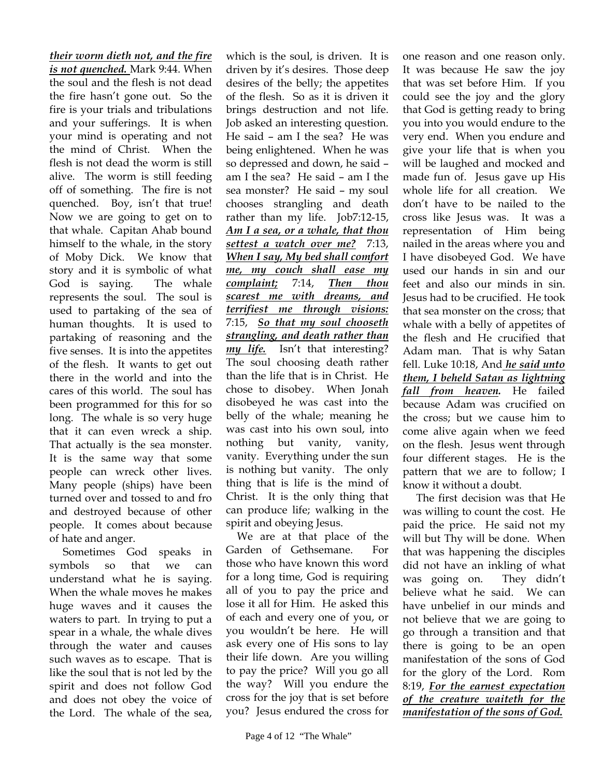*their worm dieth not, and the fire is not quenched.* Mark 9:44. When the soul and the flesh is not dead the fire hasn't gone out. So the fire is your trials and tribulations and your sufferings. It is when your mind is operating and not the mind of Christ. When the flesh is not dead the worm is still alive. The worm is still feeding off of something. The fire is not quenched. Boy, isn't that true! Now we are going to get on to that whale. Capitan Ahab bound himself to the whale, in the story of Moby Dick. We know that story and it is symbolic of what God is saying. The whale represents the soul. The soul is used to partaking of the sea of human thoughts. It is used to partaking of reasoning and the five senses. It is into the appetites of the flesh. It wants to get out there in the world and into the cares of this world. The soul has been programmed for this for so long. The whale is so very huge that it can even wreck a ship. That actually is the sea monster. It is the same way that some people can wreck other lives. Many people (ships) have been turned over and tossed to and fro and destroyed because of other people. It comes about because of hate and anger.

 Sometimes God speaks in symbols so that we can understand what he is saying. When the whale moves he makes huge waves and it causes the waters to part. In trying to put a spear in a whale, the whale dives through the water and causes such waves as to escape. That is like the soul that is not led by the spirit and does not follow God and does not obey the voice of the Lord. The whale of the sea,

which is the soul, is driven. It is driven by it's desires. Those deep desires of the belly; the appetites of the flesh. So as it is driven it brings destruction and not life. Job asked an interesting question. He said – am I the sea? He was being enlightened. When he was so depressed and down, he said – am I the sea? He said – am I the sea monster? He said – my soul chooses strangling and death rather than my life. Job7:12-15, *Am I a sea, or a whale, that thou settest a watch over me?* 7:13, *When I say, My bed shall comfort me, my couch shall ease my complaint;* 7:14, *Then thou scarest me with dreams, and terrifiest me through visions:*  7:15, *So that my soul chooseth strangling, and death rather than my life.* Isn't that interesting? The soul choosing death rather than the life that is in Christ. He chose to disobey. When Jonah disobeyed he was cast into the belly of the whale; meaning he was cast into his own soul, into nothing but vanity, vanity, vanity. Everything under the sun is nothing but vanity. The only thing that is life is the mind of Christ. It is the only thing that can produce life; walking in the spirit and obeying Jesus.

 We are at that place of the Garden of Gethsemane. For those who have known this word for a long time, God is requiring all of you to pay the price and lose it all for Him. He asked this of each and every one of you, or you wouldn't be here. He will ask every one of His sons to lay their life down. Are you willing to pay the price? Will you go all the way? Will you endure the cross for the joy that is set before you? Jesus endured the cross for

It was because He saw the joy that was set before Him. If you could see the joy and the glory that God is getting ready to bring you into you would endure to the very end. When you endure and give your life that is when you will be laughed and mocked and made fun of. Jesus gave up His whole life for all creation. We don't have to be nailed to the cross like Jesus was. It was a representation of Him being nailed in the areas where you and I have disobeyed God. We have used our hands in sin and our feet and also our minds in sin. Jesus had to be crucified. He took that sea monster on the cross; that whale with a belly of appetites of the flesh and He crucified that Adam man. That is why Satan fell. Luke 10:18, And *he said unto them, I beheld Satan as lightning fall from heaven.* He failed because Adam was crucified on the cross; but we cause him to come alive again when we feed on the flesh. Jesus went through four different stages. He is the pattern that we are to follow; I know it without a doubt.

one reason and one reason only.

 The first decision was that He was willing to count the cost. He paid the price. He said not my will but Thy will be done. When that was happening the disciples did not have an inkling of what was going on. They didn't believe what he said. We can have unbelief in our minds and not believe that we are going to go through a transition and that there is going to be an open manifestation of the sons of God for the glory of the Lord. Rom 8:19, *For the earnest expectation of the creature waiteth for the manifestation of the sons of God.*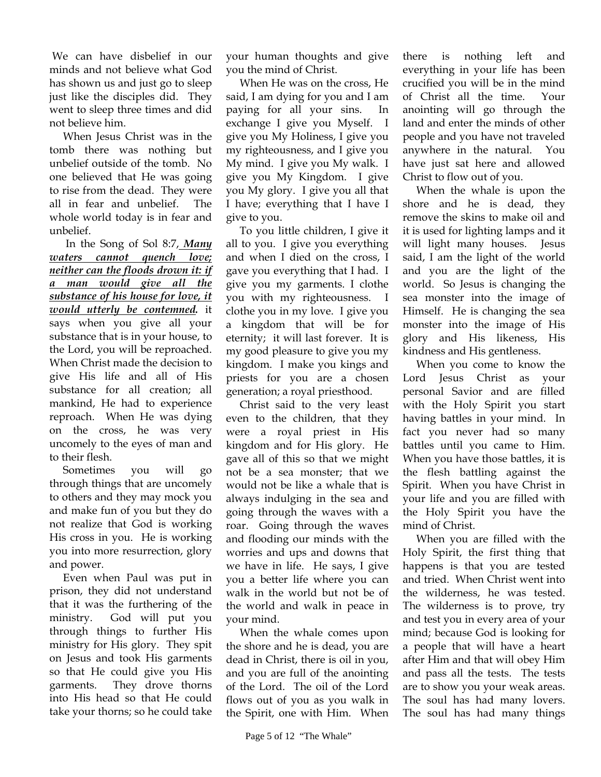We can have disbelief in our minds and not believe what God has shown us and just go to sleep just like the disciples did. They went to sleep three times and did not believe him.

 When Jesus Christ was in the tomb there was nothing but unbelief outside of the tomb. No one believed that He was going to rise from the dead. They were all in fear and unbelief. The whole world today is in fear and unbelief.

 In the Song of Sol 8:7, *Many waters cannot quench love; neither can the floods drown it: if a man would give all the substance of his house for love, it would utterly be contemned.* it says when you give all your substance that is in your house, to the Lord, you will be reproached. When Christ made the decision to give His life and all of His substance for all creation; all mankind, He had to experience reproach. When He was dying on the cross, he was very uncomely to the eyes of man and to their flesh.

 Sometimes you will go through things that are uncomely to others and they may mock you and make fun of you but they do not realize that God is working His cross in you. He is working you into more resurrection, glory and power.

 Even when Paul was put in prison, they did not understand that it was the furthering of the ministry. God will put you through things to further His ministry for His glory. They spit on Jesus and took His garments so that He could give you His garments. They drove thorns into His head so that He could take your thorns; so he could take

your human thoughts and give you the mind of Christ.

 When He was on the cross, He said, I am dying for you and I am paying for all your sins. In exchange I give you Myself. I give you My Holiness, I give you my righteousness, and I give you My mind. I give you My walk. I give you My Kingdom. I give you My glory. I give you all that I have; everything that I have I give to you.

 To you little children, I give it all to you. I give you everything and when I died on the cross, I gave you everything that I had. I give you my garments. I clothe you with my righteousness. I clothe you in my love. I give you a kingdom that will be for eternity; it will last forever. It is my good pleasure to give you my kingdom. I make you kings and priests for you are a chosen generation; a royal priesthood.

 Christ said to the very least even to the children, that they were a royal priest in His kingdom and for His glory. He gave all of this so that we might not be a sea monster; that we would not be like a whale that is always indulging in the sea and going through the waves with a roar. Going through the waves and flooding our minds with the worries and ups and downs that we have in life. He says, I give you a better life where you can walk in the world but not be of the world and walk in peace in your mind.

 When the whale comes upon the shore and he is dead, you are dead in Christ, there is oil in you, and you are full of the anointing of the Lord. The oil of the Lord flows out of you as you walk in the Spirit, one with Him. When

there is nothing left and everything in your life has been crucified you will be in the mind of Christ all the time. Your anointing will go through the land and enter the minds of other people and you have not traveled anywhere in the natural. You have just sat here and allowed Christ to flow out of you.

 When the whale is upon the shore and he is dead, they remove the skins to make oil and it is used for lighting lamps and it will light many houses. Jesus said, I am the light of the world and you are the light of the world. So Jesus is changing the sea monster into the image of Himself. He is changing the sea monster into the image of His glory and His likeness, His kindness and His gentleness.

 When you come to know the Lord Jesus Christ as your personal Savior and are filled with the Holy Spirit you start having battles in your mind. In fact you never had so many battles until you came to Him. When you have those battles, it is the flesh battling against the Spirit. When you have Christ in your life and you are filled with the Holy Spirit you have the mind of Christ.

 When you are filled with the Holy Spirit, the first thing that happens is that you are tested and tried. When Christ went into the wilderness, he was tested. The wilderness is to prove, try and test you in every area of your mind; because God is looking for a people that will have a heart after Him and that will obey Him and pass all the tests. The tests are to show you your weak areas. The soul has had many lovers. The soul has had many things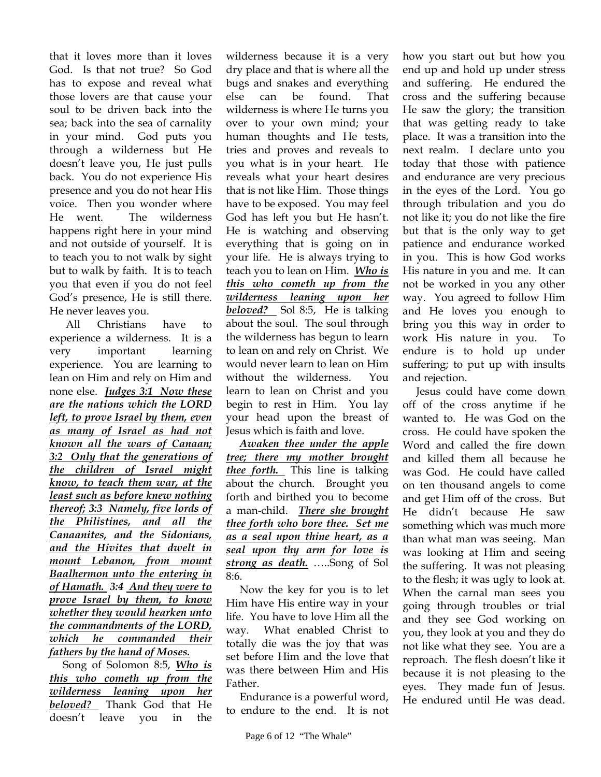that it loves more than it loves God. Is that not true? So God has to expose and reveal what those lovers are that cause your soul to be driven back into the sea; back into the sea of carnality in your mind. God puts you through a wilderness but He doesn't leave you, He just pulls back. You do not experience His presence and you do not hear His voice. Then you wonder where He went. The wilderness happens right here in your mind and not outside of yourself. It is to teach you to not walk by sight but to walk by faith. It is to teach you that even if you do not feel God's presence, He is still there. He never leaves you.

 All Christians have to experience a wilderness. It is a very important learning experience. You are learning to lean on Him and rely on Him and none else. *Judges 3:1 Now these are the nations which the LORD left, to prove Israel by them, even as many of Israel as had not known all the wars of Canaan; 3:2 Only that the generations of the children of Israel might know, to teach them war, at the least such as before knew nothing thereof; 3:3 Namely, five lords of the Philistines, and all the Canaanites, and the Sidonians, and the Hivites that dwelt in mount Lebanon, from mount Baalhermon unto the entering in of Hamath. 3:4 And they were to prove Israel by them, to know whether they would hearken unto the commandments of the LORD, which he commanded their fathers by the hand of Moses.* 

 Song of Solomon 8:5, *Who is this who cometh up from the wilderness leaning upon her beloved?* Thank God that He doesn't leave you in the

wilderness because it is a very dry place and that is where all the bugs and snakes and everything else can be found. That wilderness is where He turns you over to your own mind; your human thoughts and He tests, tries and proves and reveals to you what is in your heart. He reveals what your heart desires that is not like Him. Those things have to be exposed. You may feel God has left you but He hasn't. He is watching and observing everything that is going on in your life. He is always trying to teach you to lean on Him. *Who is this who cometh up from the wilderness leaning upon her beloved?* Sol 8:5, He is talking about the soul. The soul through the wilderness has begun to learn to lean on and rely on Christ. We would never learn to lean on Him without the wilderness. You learn to lean on Christ and you begin to rest in Him. You lay your head upon the breast of Jesus which is faith and love.

 *Awaken thee under the apple tree; there my mother brought thee forth.* This line is talking about the church. Brought you forth and birthed you to become a man-child. *There she brought thee forth who bore thee. Set me as a seal upon thine heart, as a seal upon thy arm for love is strong as death.* …..Song of Sol 8:6.

 Now the key for you is to let Him have His entire way in your life. You have to love Him all the way. What enabled Christ to totally die was the joy that was set before Him and the love that was there between Him and His Father.

 Endurance is a powerful word, to endure to the end. It is not

how you start out but how you end up and hold up under stress and suffering. He endured the cross and the suffering because He saw the glory; the transition that was getting ready to take place. It was a transition into the next realm. I declare unto you today that those with patience and endurance are very precious in the eyes of the Lord. You go through tribulation and you do not like it; you do not like the fire but that is the only way to get patience and endurance worked in you. This is how God works His nature in you and me. It can not be worked in you any other way. You agreed to follow Him and He loves you enough to bring you this way in order to work His nature in you. To endure is to hold up under suffering; to put up with insults and rejection.

 Jesus could have come down off of the cross anytime if he wanted to. He was God on the cross. He could have spoken the Word and called the fire down and killed them all because he was God. He could have called on ten thousand angels to come and get Him off of the cross. But He didn't because He saw something which was much more than what man was seeing. Man was looking at Him and seeing the suffering. It was not pleasing to the flesh; it was ugly to look at. When the carnal man sees you going through troubles or trial and they see God working on you, they look at you and they do not like what they see. You are a reproach. The flesh doesn't like it because it is not pleasing to the eyes. They made fun of Jesus. He endured until He was dead.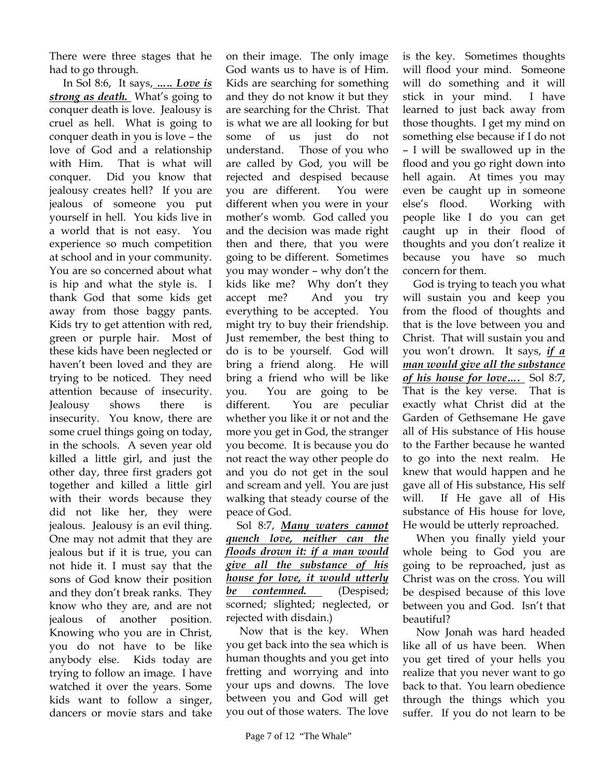There were three stages that he had to go through.

 In Sol 8:6, It says, *….. Love is strong as death.* What's going to conquer death is love. Jealousy is cruel as hell. What is going to conquer death in you is love – the love of God and a relationship with Him. That is what will conquer. Did you know that jealousy creates hell? If you are jealous of someone you put yourself in hell. You kids live in a world that is not easy. You experience so much competition at school and in your community. You are so concerned about what is hip and what the style is. I thank God that some kids get away from those baggy pants. Kids try to get attention with red, green or purple hair. Most of these kids have been neglected or haven't been loved and they are trying to be noticed. They need attention because of insecurity. Jealousy shows there is insecurity. You know, there are some cruel things going on today, in the schools. A seven year old killed a little girl, and just the other day, three first graders got together and killed a little girl with their words because they did not like her, they were jealous. Jealousy is an evil thing. One may not admit that they are jealous but if it is true, you can not hide it. I must say that the sons of God know their position and they don't break ranks. They know who they are, and are not jealous of another position. Knowing who you are in Christ, you do not have to be like anybody else. Kids today are trying to follow an image. I have watched it over the years. Some kids want to follow a singer, dancers or movie stars and take

on their image. The only image God wants us to have is of Him. Kids are searching for something and they do not know it but they are searching for the Christ. That is what we are all looking for but some of us just do not understand. Those of you who are called by God, you will be rejected and despised because you are different. You were different when you were in your mother's womb. God called you and the decision was made right then and there, that you were going to be different. Sometimes you may wonder – why don't the kids like me? Why don't they accept me? And you try everything to be accepted. You might try to buy their friendship. Just remember, the best thing to do is to be yourself. God will bring a friend along. He will bring a friend who will be like you. You are going to be different. You are peculiar whether you like it or not and the more you get in God, the stranger you become. It is because you do not react the way other people do and you do not get in the soul and scream and yell. You are just walking that steady course of the peace of God.

 Sol 8:7, *Many waters cannot quench love, neither can the floods drown it: if a man would give all the substance of his house for love, it would utterly be contemned.* (Despised; scorned; slighted; neglected, or rejected with disdain.)

 Now that is the key. When you get back into the sea which is human thoughts and you get into fretting and worrying and into your ups and downs. The love between you and God will get you out of those waters. The love

is the key. Sometimes thoughts will flood your mind. Someone will do something and it will stick in your mind. I have learned to just back away from those thoughts. I get my mind on something else because if I do not – I will be swallowed up in the flood and you go right down into hell again. At times you may even be caught up in someone else's flood. Working with people like I do you can get caught up in their flood of thoughts and you don't realize it because you have so much concern for them.

 God is trying to teach you what will sustain you and keep you from the flood of thoughts and that is the love between you and Christ. That will sustain you and you won't drown. It says, *if a man would give all the substance of his house for love….* Sol 8:7, That is the key verse. That is exactly what Christ did at the Garden of Gethsemane He gave all of His substance of His house to the Farther because he wanted to go into the next realm. He knew that would happen and he gave all of His substance, His self will. If He gave all of His substance of His house for love, He would be utterly reproached.

 When you finally yield your whole being to God you are going to be reproached, just as Christ was on the cross. You will be despised because of this love between you and God. Isn't that beautiful?

 Now Jonah was hard headed like all of us have been. When you get tired of your hells you realize that you never want to go back to that. You learn obedience through the things which you suffer. If you do not learn to be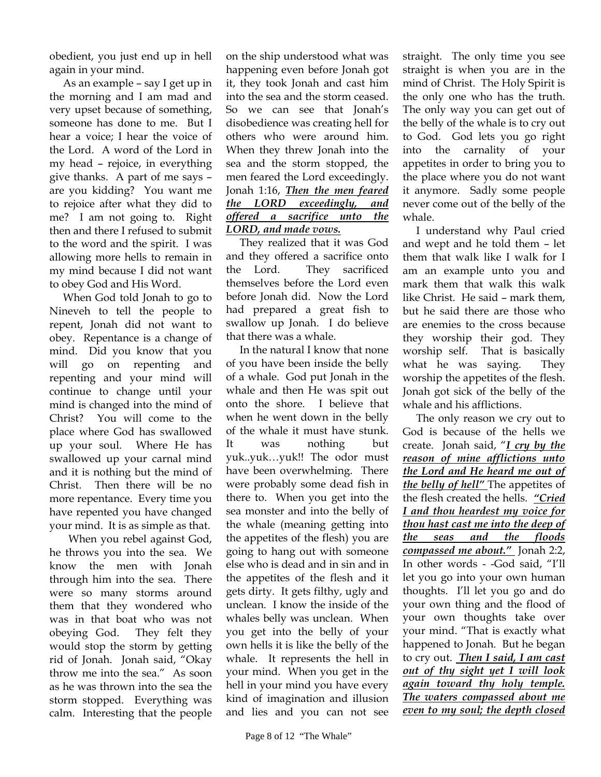obedient, you just end up in hell again in your mind.

 As an example – say I get up in the morning and I am mad and very upset because of something, someone has done to me. But I hear a voice; I hear the voice of the Lord. A word of the Lord in my head – rejoice, in everything give thanks. A part of me says – are you kidding? You want me to rejoice after what they did to me? I am not going to. Right then and there I refused to submit to the word and the spirit. I was allowing more hells to remain in my mind because I did not want to obey God and His Word.

 When God told Jonah to go to Nineveh to tell the people to repent, Jonah did not want to obey. Repentance is a change of mind. Did you know that you will go on repenting and repenting and your mind will continue to change until your mind is changed into the mind of Christ? You will come to the place where God has swallowed up your soul. Where He has swallowed up your carnal mind and it is nothing but the mind of Christ. Then there will be no more repentance. Every time you have repented you have changed your mind. It is as simple as that.

 When you rebel against God, he throws you into the sea. We know the men with Jonah through him into the sea. There were so many storms around them that they wondered who was in that boat who was not obeying God. They felt they would stop the storm by getting rid of Jonah. Jonah said, "Okay throw me into the sea." As soon as he was thrown into the sea the storm stopped. Everything was calm. Interesting that the people

on the ship understood what was happening even before Jonah got it, they took Jonah and cast him into the sea and the storm ceased. So we can see that Jonah's disobedience was creating hell for others who were around him. When they threw Jonah into the sea and the storm stopped, the men feared the Lord exceedingly. Jonah 1:16, *Then the men feared the LORD exceedingly, and offered a sacrifice unto the LORD, and made vows.* 

 They realized that it was God and they offered a sacrifice onto the Lord. They sacrificed themselves before the Lord even before Jonah did. Now the Lord had prepared a great fish to swallow up Jonah. I do believe that there was a whale.

 In the natural I know that none of you have been inside the belly of a whale. God put Jonah in the whale and then He was spit out onto the shore. I believe that when he went down in the belly of the whale it must have stunk. It was nothing but yuk..yuk…yuk!! The odor must have been overwhelming. There were probably some dead fish in there to. When you get into the sea monster and into the belly of the whale (meaning getting into the appetites of the flesh) you are going to hang out with someone else who is dead and in sin and in the appetites of the flesh and it gets dirty. It gets filthy, ugly and unclean. I know the inside of the whales belly was unclean. When you get into the belly of your own hells it is like the belly of the whale. It represents the hell in your mind. When you get in the hell in your mind you have every kind of imagination and illusion and lies and you can not see

straight. The only time you see straight is when you are in the mind of Christ. The Holy Spirit is the only one who has the truth. The only way you can get out of the belly of the whale is to cry out to God. God lets you go right into the carnality of your appetites in order to bring you to the place where you do not want it anymore. Sadly some people never come out of the belly of the whale.

 I understand why Paul cried and wept and he told them – let them that walk like I walk for I am an example unto you and mark them that walk this walk like Christ. He said – mark them, but he said there are those who are enemies to the cross because they worship their god. They worship self. That is basically what he was saying. They worship the appetites of the flesh. Jonah got sick of the belly of the whale and his afflictions.

 The only reason we cry out to God is because of the hells we create. Jonah said, "*I cry by the reason of mine afflictions unto the Lord and He heard me out of the belly of hell"* The appetites of the flesh created the hells. *"Cried I and thou heardest my voice for thou hast cast me into the deep of the seas and the floods compassed me about."* Jonah 2:2, In other words - -God said, "I'll let you go into your own human thoughts. I'll let you go and do your own thing and the flood of your own thoughts take over your mind. "That is exactly what happened to Jonah. But he began to cry out. *Then I said, I am cast out of thy sight yet I will look again toward thy holy temple. The waters compassed about me even to my soul; the depth closed*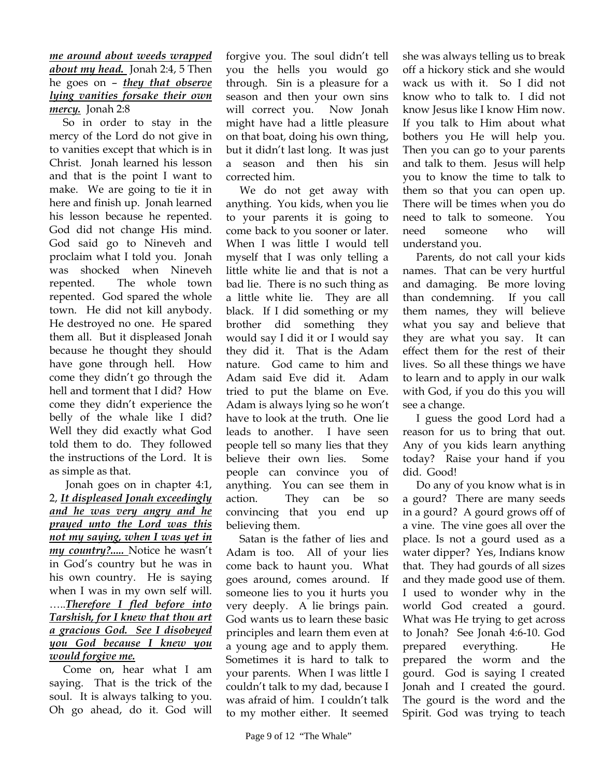## *me around about weeds wrapped about my head.* Jonah 2:4, 5 Then he goes on – *they that observe lying vanities forsake their own mercy.* Jonah 2:8

 So in order to stay in the mercy of the Lord do not give in to vanities except that which is in Christ. Jonah learned his lesson and that is the point I want to make. We are going to tie it in here and finish up. Jonah learned his lesson because he repented. God did not change His mind. God said go to Nineveh and proclaim what I told you. Jonah was shocked when Nineveh repented. The whole town repented. God spared the whole town. He did not kill anybody. He destroyed no one. He spared them all. But it displeased Jonah because he thought they should have gone through hell. How come they didn't go through the hell and torment that I did? How come they didn't experience the belly of the whale like I did? Well they did exactly what God told them to do. They followed the instructions of the Lord. It is as simple as that.

 Jonah goes on in chapter 4:1, 2, *It displeased Jonah exceedingly and he was very angry and he prayed unto the Lord was this not my saying, when I was yet in my country?.....* Notice he wasn't in God's country but he was in his own country. He is saying when I was in my own self will. …..*Therefore I fled before into Tarshish, for I knew that thou art a gracious God. See I disobeyed you God because I knew you would forgive me.*

 Come on, hear what I am saying. That is the trick of the soul. It is always talking to you. Oh go ahead, do it. God will

forgive you. The soul didn't tell you the hells you would go through. Sin is a pleasure for a season and then your own sins will correct you. Now Jonah might have had a little pleasure on that boat, doing his own thing, but it didn't last long. It was just a season and then his sin corrected him.

 We do not get away with anything. You kids, when you lie to your parents it is going to come back to you sooner or later. When I was little I would tell myself that I was only telling a little white lie and that is not a bad lie. There is no such thing as a little white lie. They are all black. If I did something or my brother did something they would say I did it or I would say they did it. That is the Adam nature. God came to him and Adam said Eve did it. Adam tried to put the blame on Eve. Adam is always lying so he won't have to look at the truth. One lie leads to another. I have seen people tell so many lies that they believe their own lies. Some people can convince you of anything. You can see them in action. They can be so convincing that you end up believing them.

 Satan is the father of lies and Adam is too. All of your lies come back to haunt you. What goes around, comes around. If someone lies to you it hurts you very deeply. A lie brings pain. God wants us to learn these basic principles and learn them even at a young age and to apply them. Sometimes it is hard to talk to your parents. When I was little I couldn't talk to my dad, because I was afraid of him. I couldn't talk to my mother either. It seemed

she was always telling us to break off a hickory stick and she would wack us with it. So I did not know who to talk to. I did not know Jesus like I know Him now. If you talk to Him about what bothers you He will help you. Then you can go to your parents and talk to them. Jesus will help you to know the time to talk to them so that you can open up. There will be times when you do need to talk to someone. You need someone who will understand you.

 Parents, do not call your kids names. That can be very hurtful and damaging. Be more loving than condemning. If you call them names, they will believe what you say and believe that they are what you say. It can effect them for the rest of their lives. So all these things we have to learn and to apply in our walk with God, if you do this you will see a change.

 I guess the good Lord had a reason for us to bring that out. Any of you kids learn anything today? Raise your hand if you did. Good!

 Do any of you know what is in a gourd? There are many seeds in a gourd? A gourd grows off of a vine. The vine goes all over the place. Is not a gourd used as a water dipper? Yes, Indians know that. They had gourds of all sizes and they made good use of them. I used to wonder why in the world God created a gourd. What was He trying to get across to Jonah? See Jonah 4:6-10. God prepared everything. He prepared the worm and the gourd. God is saying I created Jonah and I created the gourd. The gourd is the word and the Spirit. God was trying to teach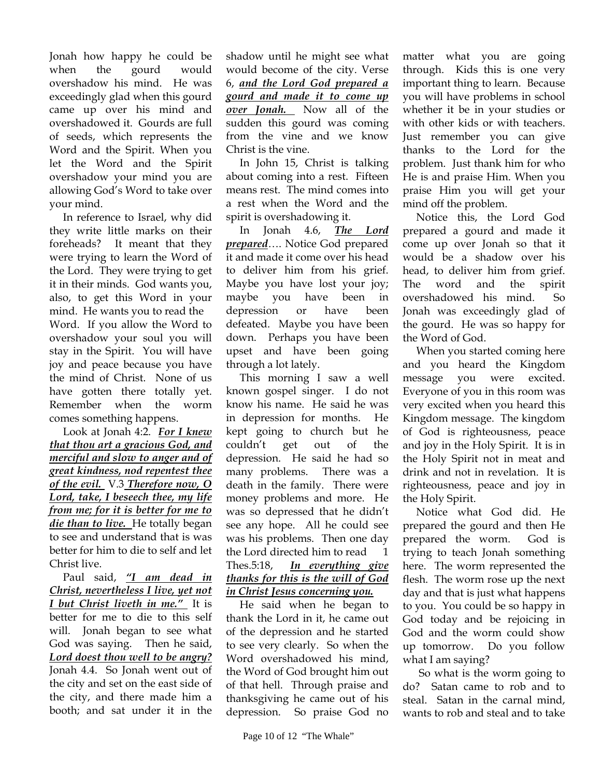Jonah how happy he could be when the gourd would overshadow his mind. He was exceedingly glad when this gourd came up over his mind and overshadowed it. Gourds are full of seeds, which represents the Word and the Spirit. When you let the Word and the Spirit overshadow your mind you are allowing God's Word to take over your mind.

 In reference to Israel, why did they write little marks on their foreheads? It meant that they were trying to learn the Word of the Lord. They were trying to get it in their minds. God wants you, also, to get this Word in your mind. He wants you to read the Word. If you allow the Word to overshadow your soul you will stay in the Spirit. You will have joy and peace because you have the mind of Christ. None of us have gotten there totally yet. Remember when the worm comes something happens.

 Look at Jonah 4:2. *For I knew that thou art a gracious God, and merciful and slow to anger and of great kindness, nod repentest thee of the evil.* V.3 *Therefore now, O Lord, take, I beseech thee, my life from me; for it is better for me to die than to live.* He totally began to see and understand that is was better for him to die to self and let Christ live.

 Paul said, *"I am dead in Christ, nevertheless I live, yet not I but Christ liveth in me."* It is better for me to die to this self will. Jonah began to see what God was saying. Then he said, *Lord doest thou well to be angry?* Jonah 4.4. So Jonah went out of the city and set on the east side of the city, and there made him a booth; and sat under it in the

shadow until he might see what would become of the city. Verse 6, *and the Lord God prepared a gourd and made it to come up over Jonah.* Now all of the sudden this gourd was coming from the vine and we know Christ is the vine.

 In John 15, Christ is talking about coming into a rest. Fifteen means rest. The mind comes into a rest when the Word and the spirit is overshadowing it.

 In Jonah 4.6, *The Lord prepared*…. Notice God prepared it and made it come over his head to deliver him from his grief. Maybe you have lost your joy; maybe you have been in depression or have been defeated. Maybe you have been down. Perhaps you have been upset and have been going through a lot lately.

 This morning I saw a well known gospel singer. I do not know his name. He said he was in depression for months. He kept going to church but he couldn't get out of the depression. He said he had so many problems. There was a death in the family. There were money problems and more. He was so depressed that he didn't see any hope. All he could see was his problems. Then one day the Lord directed him to read 1 Thes.5:18, *In everything give thanks for this is the will of God in Christ Jesus concerning you.*

 He said when he began to thank the Lord in it, he came out of the depression and he started to see very clearly. So when the Word overshadowed his mind, the Word of God brought him out of that hell. Through praise and thanksgiving he came out of his depression. So praise God no

matter what you are going through. Kids this is one very important thing to learn. Because you will have problems in school whether it be in your studies or with other kids or with teachers. Just remember you can give thanks to the Lord for the problem. Just thank him for who He is and praise Him. When you praise Him you will get your mind off the problem.

 Notice this, the Lord God prepared a gourd and made it come up over Jonah so that it would be a shadow over his head, to deliver him from grief. The word and the spirit overshadowed his mind. So Jonah was exceedingly glad of the gourd. He was so happy for the Word of God.

 When you started coming here and you heard the Kingdom message you were excited. Everyone of you in this room was very excited when you heard this Kingdom message. The kingdom of God is righteousness, peace and joy in the Holy Spirit. It is in the Holy Spirit not in meat and drink and not in revelation. It is righteousness, peace and joy in the Holy Spirit.

 Notice what God did. He prepared the gourd and then He prepared the worm. God is trying to teach Jonah something here. The worm represented the flesh. The worm rose up the next day and that is just what happens to you. You could be so happy in God today and be rejoicing in God and the worm could show up tomorrow. Do you follow what I am saying?

 So what is the worm going to do? Satan came to rob and to steal. Satan in the carnal mind, wants to rob and steal and to take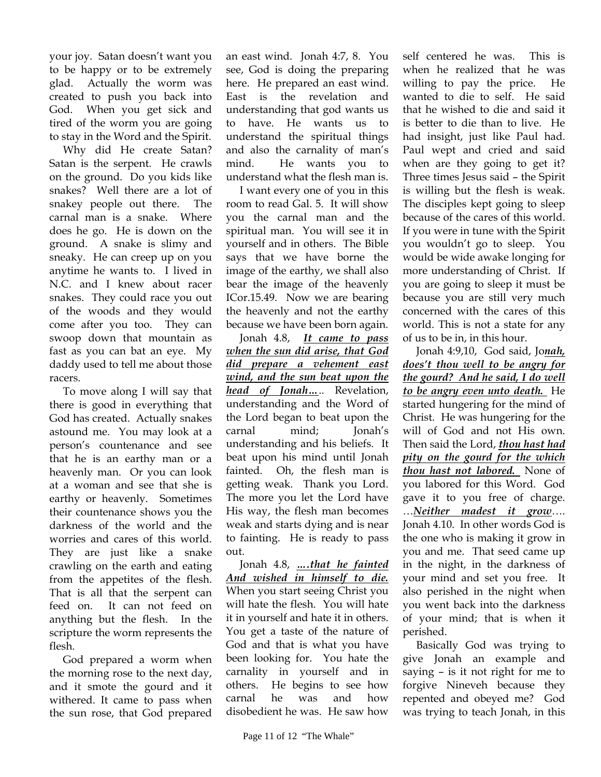your joy. Satan doesn't want you to be happy or to be extremely glad. Actually the worm was created to push you back into God. When you get sick and tired of the worm you are going to stay in the Word and the Spirit.

 Why did He create Satan? Satan is the serpent. He crawls on the ground. Do you kids like snakes? Well there are a lot of snakey people out there. The carnal man is a snake. Where does he go. He is down on the ground. A snake is slimy and sneaky. He can creep up on you anytime he wants to. I lived in N.C. and I knew about racer snakes. They could race you out of the woods and they would come after you too. They can swoop down that mountain as fast as you can bat an eye. My daddy used to tell me about those racers.

 To move along I will say that there is good in everything that God has created. Actually snakes astound me. You may look at a person's countenance and see that he is an earthy man or a heavenly man. Or you can look at a woman and see that she is earthy or heavenly. Sometimes their countenance shows you the darkness of the world and the worries and cares of this world. They are just like a snake crawling on the earth and eating from the appetites of the flesh. That is all that the serpent can feed on. It can not feed on anything but the flesh. In the scripture the worm represents the flesh.

 God prepared a worm when the morning rose to the next day, and it smote the gourd and it withered. It came to pass when the sun rose, that God prepared

an east wind. Jonah 4:7, 8. You see, God is doing the preparing here. He prepared an east wind. East is the revelation and understanding that god wants us to have. He wants us to understand the spiritual things and also the carnality of man's mind. He wants you to understand what the flesh man is.

 I want every one of you in this room to read Gal. 5. It will show you the carnal man and the spiritual man. You will see it in yourself and in others. The Bible says that we have borne the image of the earthy, we shall also bear the image of the heavenly ICor.15.49. Now we are bearing the heavenly and not the earthy because we have been born again.

 Jonah 4.8, *It came to pass when the sun did arise, that God did prepare a vehement east wind, and the sun beat upon the head of Jonah…*.. Revelation, understanding and the Word of the Lord began to beat upon the carnal mind; Jonah's understanding and his beliefs. It beat upon his mind until Jonah fainted. Oh, the flesh man is getting weak. Thank you Lord. The more you let the Lord have His way, the flesh man becomes weak and starts dying and is near to fainting. He is ready to pass out.

 Jonah 4.8, *….that he fainted And wished in himself to die.* When you start seeing Christ you will hate the flesh. You will hate it in yourself and hate it in others. You get a taste of the nature of God and that is what you have been looking for. You hate the carnality in yourself and in others. He begins to see how carnal he was and how disobedient he was. He saw how

self centered he was. This is when he realized that he was willing to pay the price. He wanted to die to self. He said that he wished to die and said it is better to die than to live. He had insight, just like Paul had. Paul wept and cried and said when are they going to get it? Three times Jesus said – the Spirit is willing but the flesh is weak. The disciples kept going to sleep because of the cares of this world. If you were in tune with the Spirit you wouldn't go to sleep. You would be wide awake longing for more understanding of Christ. If you are going to sleep it must be because you are still very much concerned with the cares of this world. This is not a state for any of us to be in, in this hour.

 Jonah 4:9,10, God said, Jo*nah, does't thou well to be angry for the gourd? And he said, I do well to be angry even unto death.* He started hungering for the mind of Christ. He was hungering for the will of God and not His own. Then said the Lord, *thou hast had pity on the gourd for the which thou hast not labored.* None of you labored for this Word. God gave it to you free of charge. …*Neither madest it grow*…. Jonah 4.10. In other words God is the one who is making it grow in you and me. That seed came up in the night, in the darkness of your mind and set you free. It also perished in the night when you went back into the darkness of your mind; that is when it perished.

 Basically God was trying to give Jonah an example and saying – is it not right for me to forgive Nineveh because they repented and obeyed me? God was trying to teach Jonah, in this